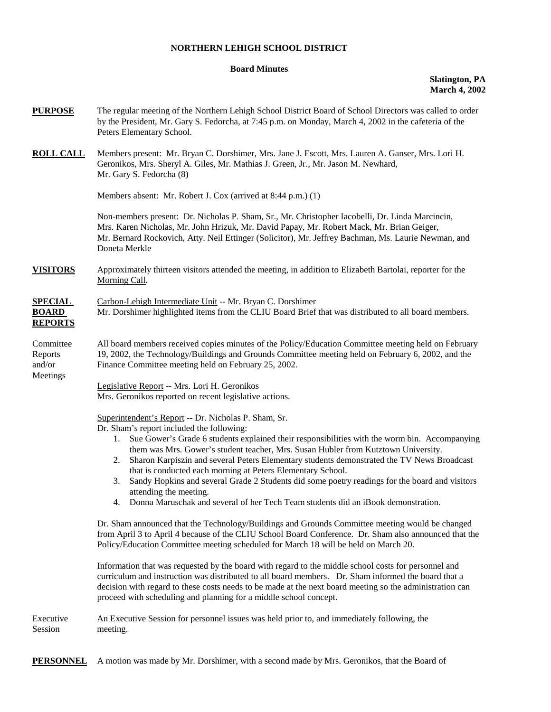## **NORTHERN LEHIGH SCHOOL DISTRICT**

## **Board Minutes**

## **Slatington, PA March 4, 2002**

| <b>PURPOSE</b>                                   | The regular meeting of the Northern Lehigh School District Board of School Directors was called to order<br>by the President, Mr. Gary S. Fedorcha, at 7:45 p.m. on Monday, March 4, 2002 in the cafeteria of the<br>Peters Elementary School.                                                                                                                                                                                                                                                                                                                                                                                                                                                                                                                                                                                                                                                                                                                                                                                                                                                                                                                                                                |
|--------------------------------------------------|---------------------------------------------------------------------------------------------------------------------------------------------------------------------------------------------------------------------------------------------------------------------------------------------------------------------------------------------------------------------------------------------------------------------------------------------------------------------------------------------------------------------------------------------------------------------------------------------------------------------------------------------------------------------------------------------------------------------------------------------------------------------------------------------------------------------------------------------------------------------------------------------------------------------------------------------------------------------------------------------------------------------------------------------------------------------------------------------------------------------------------------------------------------------------------------------------------------|
| <b>ROLL CALL</b>                                 | Members present: Mr. Bryan C. Dorshimer, Mrs. Jane J. Escott, Mrs. Lauren A. Ganser, Mrs. Lori H.<br>Geronikos, Mrs. Sheryl A. Giles, Mr. Mathias J. Green, Jr., Mr. Jason M. Newhard,<br>Mr. Gary S. Fedorcha (8)                                                                                                                                                                                                                                                                                                                                                                                                                                                                                                                                                                                                                                                                                                                                                                                                                                                                                                                                                                                            |
|                                                  | Members absent: Mr. Robert J. Cox (arrived at 8:44 p.m.) (1)                                                                                                                                                                                                                                                                                                                                                                                                                                                                                                                                                                                                                                                                                                                                                                                                                                                                                                                                                                                                                                                                                                                                                  |
|                                                  | Non-members present: Dr. Nicholas P. Sham, Sr., Mr. Christopher Iacobelli, Dr. Linda Marcincin,<br>Mrs. Karen Nicholas, Mr. John Hrizuk, Mr. David Papay, Mr. Robert Mack, Mr. Brian Geiger,<br>Mr. Bernard Rockovich, Atty. Neil Ettinger (Solicitor), Mr. Jeffrey Bachman, Ms. Laurie Newman, and<br>Doneta Merkle                                                                                                                                                                                                                                                                                                                                                                                                                                                                                                                                                                                                                                                                                                                                                                                                                                                                                          |
| <b>VISITORS</b>                                  | Approximately thirteen visitors attended the meeting, in addition to Elizabeth Bartolai, reporter for the<br>Morning Call.                                                                                                                                                                                                                                                                                                                                                                                                                                                                                                                                                                                                                                                                                                                                                                                                                                                                                                                                                                                                                                                                                    |
| <b>SPECIAL</b><br><b>BOARD</b><br><b>REPORTS</b> | Carbon-Lehigh Intermediate Unit -- Mr. Bryan C. Dorshimer<br>Mr. Dorshimer highlighted items from the CLIU Board Brief that was distributed to all board members.                                                                                                                                                                                                                                                                                                                                                                                                                                                                                                                                                                                                                                                                                                                                                                                                                                                                                                                                                                                                                                             |
| Committee<br>Reports<br>and/or<br>Meetings       | All board members received copies minutes of the Policy/Education Committee meeting held on February<br>19, 2002, the Technology/Buildings and Grounds Committee meeting held on February 6, 2002, and the<br>Finance Committee meeting held on February 25, 2002.                                                                                                                                                                                                                                                                                                                                                                                                                                                                                                                                                                                                                                                                                                                                                                                                                                                                                                                                            |
|                                                  | Legislative Report -- Mrs. Lori H. Geronikos<br>Mrs. Geronikos reported on recent legislative actions.                                                                                                                                                                                                                                                                                                                                                                                                                                                                                                                                                                                                                                                                                                                                                                                                                                                                                                                                                                                                                                                                                                        |
|                                                  | Superintendent's Report -- Dr. Nicholas P. Sham, Sr.<br>Dr. Sham's report included the following:<br>1. Sue Gower's Grade 6 students explained their responsibilities with the worm bin. Accompanying<br>them was Mrs. Gower's student teacher, Mrs. Susan Hubler from Kutztown University.<br>Sharon Karpiszin and several Peters Elementary students demonstrated the TV News Broadcast<br>2.<br>that is conducted each morning at Peters Elementary School.<br>Sandy Hopkins and several Grade 2 Students did some poetry readings for the board and visitors<br>3.<br>attending the meeting.<br>Donna Maruschak and several of her Tech Team students did an iBook demonstration.<br>4.<br>Dr. Sham announced that the Technology/Buildings and Grounds Committee meeting would be changed<br>from April 3 to April 4 because of the CLIU School Board Conference. Dr. Sham also announced that the<br>Policy/Education Committee meeting scheduled for March 18 will be held on March 20.<br>Information that was requested by the board with regard to the middle school costs for personnel and<br>curriculum and instruction was distributed to all board members. Dr. Sham informed the board that a |
|                                                  | decision with regard to these costs needs to be made at the next board meeting so the administration can<br>proceed with scheduling and planning for a middle school concept.                                                                                                                                                                                                                                                                                                                                                                                                                                                                                                                                                                                                                                                                                                                                                                                                                                                                                                                                                                                                                                 |
| Executive<br>Session                             | An Executive Session for personnel issues was held prior to, and immediately following, the<br>meeting.                                                                                                                                                                                                                                                                                                                                                                                                                                                                                                                                                                                                                                                                                                                                                                                                                                                                                                                                                                                                                                                                                                       |

**PERSONNEL** A motion was made by Mr. Dorshimer, with a second made by Mrs. Geronikos, that the Board of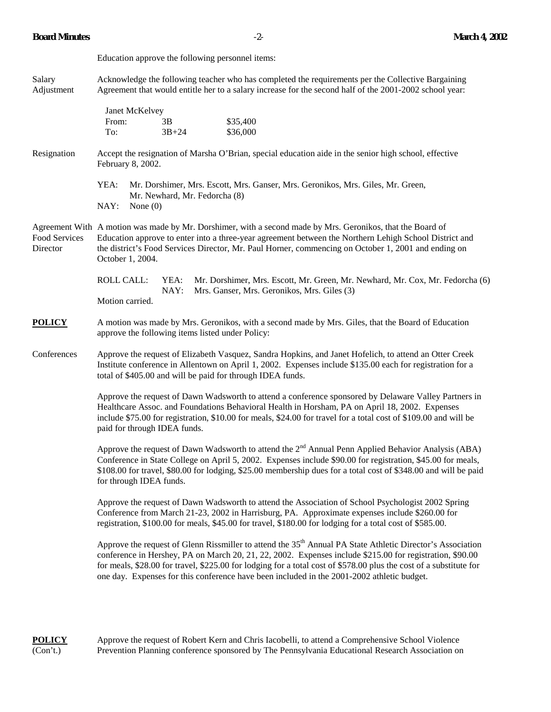|                           | Education approve the following personnel items:                                                                                                                                                                                                                                                                                                                                                                                                       |  |
|---------------------------|--------------------------------------------------------------------------------------------------------------------------------------------------------------------------------------------------------------------------------------------------------------------------------------------------------------------------------------------------------------------------------------------------------------------------------------------------------|--|
| Salary<br>Adjustment      | Acknowledge the following teacher who has completed the requirements per the Collective Bargaining<br>Agreement that would entitle her to a salary increase for the second half of the 2001-2002 school year:                                                                                                                                                                                                                                          |  |
|                           | Janet McKelvey<br>From:<br>\$35,400<br>3B<br>$3B + 24$<br>\$36,000<br>To:                                                                                                                                                                                                                                                                                                                                                                              |  |
| Resignation               | Accept the resignation of Marsha O'Brian, special education aide in the senior high school, effective<br>February 8, 2002.                                                                                                                                                                                                                                                                                                                             |  |
|                           | YEA:<br>Mr. Dorshimer, Mrs. Escott, Mrs. Ganser, Mrs. Geronikos, Mrs. Giles, Mr. Green,<br>Mr. Newhard, Mr. Fedorcha (8)<br>NAY:<br>None $(0)$                                                                                                                                                                                                                                                                                                         |  |
| Food Services<br>Director | Agreement With A motion was made by Mr. Dorshimer, with a second made by Mrs. Geronikos, that the Board of<br>Education approve to enter into a three-year agreement between the Northern Lehigh School District and<br>the district's Food Services Director, Mr. Paul Horner, commencing on October 1, 2001 and ending on<br>October 1, 2004.                                                                                                        |  |
|                           | <b>ROLL CALL:</b><br>YEA:<br>Mr. Dorshimer, Mrs. Escott, Mr. Green, Mr. Newhard, Mr. Cox, Mr. Fedorcha (6)<br>NAY:<br>Mrs. Ganser, Mrs. Geronikos, Mrs. Giles (3)<br>Motion carried.                                                                                                                                                                                                                                                                   |  |
| <b>POLICY</b>             | A motion was made by Mrs. Geronikos, with a second made by Mrs. Giles, that the Board of Education<br>approve the following items listed under Policy:                                                                                                                                                                                                                                                                                                 |  |
| Conferences               | Approve the request of Elizabeth Vasquez, Sandra Hopkins, and Janet Hofelich, to attend an Otter Creek<br>Institute conference in Allentown on April 1, 2002. Expenses include \$135.00 each for registration for a<br>total of \$405.00 and will be paid for through IDEA funds.                                                                                                                                                                      |  |
|                           | Approve the request of Dawn Wadsworth to attend a conference sponsored by Delaware Valley Partners in<br>Healthcare Assoc. and Foundations Behavioral Health in Horsham, PA on April 18, 2002. Expenses<br>include \$75.00 for registration, \$10.00 for meals, \$24.00 for travel for a total cost of \$109.00 and will be<br>paid for through IDEA funds.                                                                                            |  |
|                           | Approve the request of Dawn Wadsworth to attend the 2 <sup>nd</sup> Annual Penn Applied Behavior Analysis (ABA)<br>Conference in State College on April 5, 2002. Expenses include \$90.00 for registration, \$45.00 for meals,<br>\$108.00 for travel, \$80.00 for lodging, \$25.00 membership dues for a total cost of \$348.00 and will be paid<br>for through IDEA funds.                                                                           |  |
|                           | Approve the request of Dawn Wadsworth to attend the Association of School Psychologist 2002 Spring<br>Conference from March 21-23, 2002 in Harrisburg, PA. Approximate expenses include \$260.00 for<br>registration, \$100.00 for meals, \$45.00 for travel, \$180.00 for lodging for a total cost of \$585.00.                                                                                                                                       |  |
|                           | Approve the request of Glenn Rissmiller to attend the 35 <sup>th</sup> Annual PA State Athletic Director's Association<br>conference in Hershey, PA on March 20, 21, 22, 2002. Expenses include \$215.00 for registration, \$90.00<br>for meals, \$28.00 for travel, \$225.00 for lodging for a total cost of \$578.00 plus the cost of a substitute for<br>one day. Expenses for this conference have been included in the 2001-2002 athletic budget. |  |

**POLICY** Approve the request of Robert Kern and Chris Iacobelli, to attend a Comprehensive School Violence (Con't.) Prevention Planning conference sponsored by The Pennsylvania Educational Research Association or Prevention Planning conference sponsored by The Pennsylvania Educational Research Association on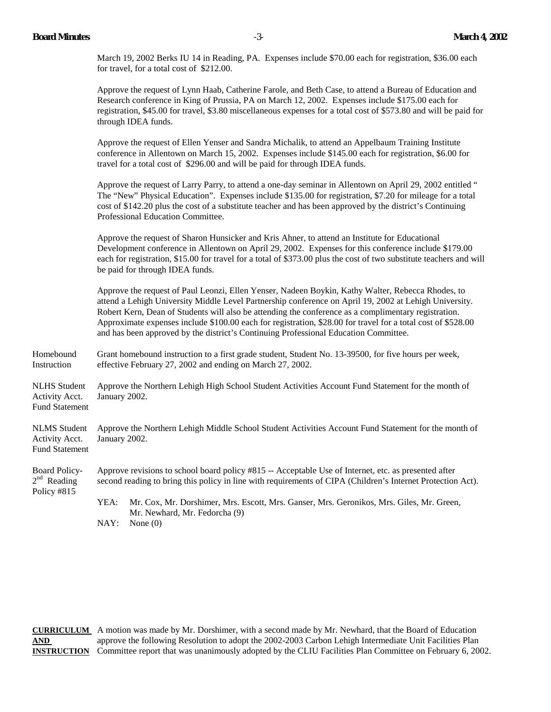March 19, 2002 Berks IU 14 in Reading, PA. Expenses include \$70.00 each for registration, \$36.00 each for travel, for a total cost of \$212.00.

Approve the request of Lynn Haab, Catherine Farole, and Beth Case, to attend a Bureau of Education and Research conference in King of Prussia, PA on March 12, 2002. Expenses include \$175.00 each for registration, \$45.00 for travel, \$3.80 miscellaneous expenses for a total cost of \$573.80 and will be paid for through IDEA funds.

Approve the request of Ellen Yenser and Sandra Michalik, to attend an Appelbaum Training Institute conference in Allentown on March 15, 2002. Expenses include \$145.00 each for registration, \$6.00 for travel for a total cost of \$296.00 and will be paid for through IDEA funds.

Approve the request of Larry Parry, to attend a one-day seminar in Allentown on April 29, 2002 entitled " The "New" Physical Education". Expenses include \$135.00 for registration, \$7.20 for mileage for a total cost of \$142.20 plus the cost of a substitute teacher and has been approved by the district's Continuing Professional Education Committee.

Approve the request of Sharon Hunsicker and Kris Ahner, to attend an Institute for Educational Development conference in Allentown on April 29, 2002. Expenses for this conference include \$179.00 each for registration, \$15.00 for travel for a total of \$373.00 plus the cost of two substitute teachers and will be paid for through IDEA funds.

Approve the request of Paul Leonzi, Ellen Yenser, Nadeen Boykin, Kathy Walter, Rebecca Rhodes, to attend a Lehigh University Middle Level Partnership conference on April 19, 2002 at Lehigh University. Robert Kern, Dean of Students will also be attending the conference as a complimentary registration. Approximate expenses include \$100.00 each for registration, \$28.00 for travel for a total cost of \$528.00 and has been approved by the district's Continuing Professional Education Committee.

Homebound Grant homebound instruction to a first grade student, Student No. 13-39500, for five hours per week, Instruction effective February 27, 2002 and ending on March 27, 2002.

NLHS Student Approve the Northern Lehigh High School Student Activities Account Fund Statement for the month of Activity Acct. January 2002. Fund Statement

NLMS Student Approve the Northern Lehigh Middle School Student Activities Account Fund Statement for the month of Activity Acct. January 2002. Fund Statement

Board Policy- Approve revisions to school board policy #815 -- Acceptable Use of Internet, etc. as presented after  $2<sup>nd</sup>$  Reading second reading to bring this policy in line with requirements of CIPA (Children's Internet Protection Act). Policy #815 YEA: Mr. Cox, Mr. Dorshimer, Mrs. Escott, Mrs. Ganser, Mrs. Geronikos, Mrs. Giles, Mr. Green,

Mr. Newhard, Mr. Fedorcha (9) NAY: None (0)

**CURRICULUM** A motion was made by Mr. Dorshimer, with a second made by Mr. Newhard, that the Board of Education AND **approve the following Resolution to adopt the 2002-2003 Carbon Lehigh Intermediate Unit Facilities Plan INSTRUCTION** Committee report that was unanimously adopted by the CLIU Facilities Plan Committee on February 6, 2002.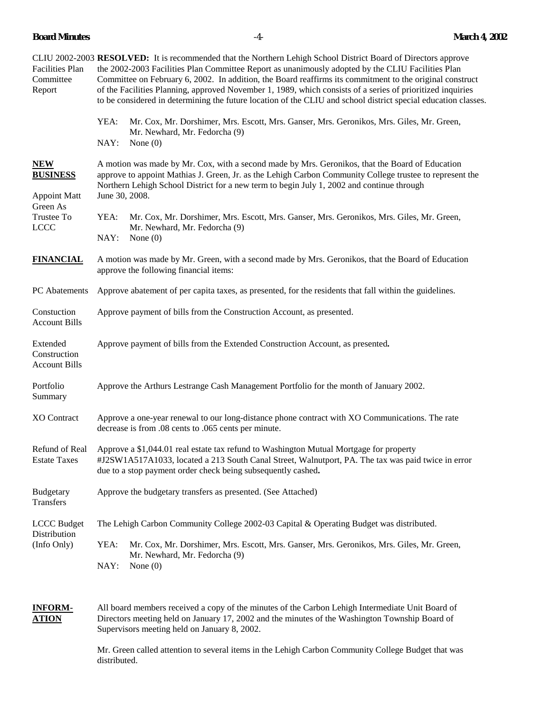**Board Minutes** -4- **March 4, 2002** 

| <b>Facilities Plan</b><br>Committee<br>Report                                                 | CLIU 2002-2003 RESOLVED: It is recommended that the Northern Lehigh School District Board of Directors approve<br>the 2002-2003 Facilities Plan Committee Report as unanimously adopted by the CLIU Facilities Plan<br>Committee on February 6, 2002. In addition, the Board reaffirms its commitment to the original construct<br>of the Facilities Planning, approved November 1, 1989, which consists of a series of prioritized inquiries<br>to be considered in determining the future location of the CLIU and school district special education classes.<br>YEA:<br>Mr. Cox, Mr. Dorshimer, Mrs. Escott, Mrs. Ganser, Mrs. Geronikos, Mrs. Giles, Mr. Green,<br>Mr. Newhard, Mr. Fedorcha (9)<br>NAY:<br>None $(0)$ |
|-----------------------------------------------------------------------------------------------|----------------------------------------------------------------------------------------------------------------------------------------------------------------------------------------------------------------------------------------------------------------------------------------------------------------------------------------------------------------------------------------------------------------------------------------------------------------------------------------------------------------------------------------------------------------------------------------------------------------------------------------------------------------------------------------------------------------------------|
| <b>NEW</b><br><b>BUSINESS</b><br><b>Appoint Matt</b><br>Green As<br>Trustee To<br><b>LCCC</b> | A motion was made by Mr. Cox, with a second made by Mrs. Geronikos, that the Board of Education<br>approve to appoint Mathias J. Green, Jr. as the Lehigh Carbon Community College trustee to represent the<br>Northern Lehigh School District for a new term to begin July 1, 2002 and continue through<br>June 30, 2008.<br>YEA:<br>Mr. Cox, Mr. Dorshimer, Mrs. Escott, Mrs. Ganser, Mrs. Geronikos, Mrs. Giles, Mr. Green,<br>Mr. Newhard, Mr. Fedorcha (9)<br>NAY:<br>None $(0)$                                                                                                                                                                                                                                      |
| <b>FINANCIAL</b>                                                                              | A motion was made by Mr. Green, with a second made by Mrs. Geronikos, that the Board of Education<br>approve the following financial items:                                                                                                                                                                                                                                                                                                                                                                                                                                                                                                                                                                                |
| PC Abatements                                                                                 | Approve abatement of per capita taxes, as presented, for the residents that fall within the guidelines.                                                                                                                                                                                                                                                                                                                                                                                                                                                                                                                                                                                                                    |
| Constuction<br><b>Account Bills</b>                                                           | Approve payment of bills from the Construction Account, as presented.                                                                                                                                                                                                                                                                                                                                                                                                                                                                                                                                                                                                                                                      |
| Extended<br>Construction<br><b>Account Bills</b>                                              | Approve payment of bills from the Extended Construction Account, as presented.                                                                                                                                                                                                                                                                                                                                                                                                                                                                                                                                                                                                                                             |
| Portfolio<br>Summary                                                                          | Approve the Arthurs Lestrange Cash Management Portfolio for the month of January 2002.                                                                                                                                                                                                                                                                                                                                                                                                                                                                                                                                                                                                                                     |
| XO Contract                                                                                   | Approve a one-year renewal to our long-distance phone contract with XO Communications. The rate<br>decrease is from .08 cents to .065 cents per minute.                                                                                                                                                                                                                                                                                                                                                                                                                                                                                                                                                                    |
| Refund of Real<br><b>Estate Taxes</b>                                                         | Approve a \$1,044.01 real estate tax refund to Washington Mutual Mortgage for property<br>#J2SW1A517A1033, located a 213 South Canal Street, Walnutport, PA. The tax was paid twice in error<br>due to a stop payment order check being subsequently cashed.                                                                                                                                                                                                                                                                                                                                                                                                                                                               |
| <b>Budgetary</b><br>Transfers                                                                 | Approve the budgetary transfers as presented. (See Attached)                                                                                                                                                                                                                                                                                                                                                                                                                                                                                                                                                                                                                                                               |
| <b>LCCC</b> Budget                                                                            | The Lehigh Carbon Community College 2002-03 Capital & Operating Budget was distributed.                                                                                                                                                                                                                                                                                                                                                                                                                                                                                                                                                                                                                                    |
| Distribution<br>(Info Only)                                                                   | YEA:<br>Mr. Cox, Mr. Dorshimer, Mrs. Escott, Mrs. Ganser, Mrs. Geronikos, Mrs. Giles, Mr. Green,<br>Mr. Newhard, Mr. Fedorcha (9)<br>NAY:<br>None $(0)$                                                                                                                                                                                                                                                                                                                                                                                                                                                                                                                                                                    |

**INFORM-** All board members received a copy of the minutes of the Carbon Lehigh Intermediate Unit Board of **ATION** Directors meeting held on January 17, 2002 and the minutes of the Washington Township Board of Supervisors meeting held on January 8, 2002.

> Mr. Green called attention to several items in the Lehigh Carbon Community College Budget that was distributed.